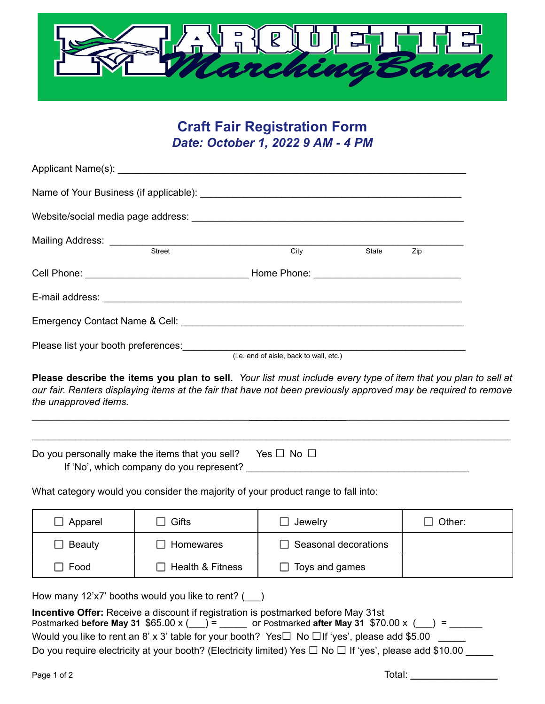

# **Craft Fair Registration Form** *Date: October 1, 2022 9 AM - 4 PM*

| Mailing Address: <u>Container Street City</u>                                                                                                                                                                                                              |                                         | State | <b>Example</b> 2ip |  |
|------------------------------------------------------------------------------------------------------------------------------------------------------------------------------------------------------------------------------------------------------------|-----------------------------------------|-------|--------------------|--|
|                                                                                                                                                                                                                                                            |                                         |       |                    |  |
|                                                                                                                                                                                                                                                            |                                         |       |                    |  |
|                                                                                                                                                                                                                                                            |                                         |       |                    |  |
| Please list your booth preferences:                                                                                                                                                                                                                        |                                         |       |                    |  |
|                                                                                                                                                                                                                                                            | (i.e. end of aisle, back to wall, etc.) |       |                    |  |
| Please describe the items you plan to sell. Your list must include every type of item that you plan to sell at<br>our fair. Renters displaying items at the fair that have not been previously approved may be required to remove<br>the unapproved items. |                                         |       |                    |  |

| Do you personally make the items that you sell? Yes $\square$ No $\square$ |  |
|----------------------------------------------------------------------------|--|
| If 'No', which company do you represent?                                   |  |

 $\mathcal{L}_\mathcal{L} = \mathcal{L}_\mathcal{L} = \mathcal{L}_\mathcal{L} = \mathcal{L}_\mathcal{L} = \mathcal{L}_\mathcal{L} = \mathcal{L}_\mathcal{L} = \mathcal{L}_\mathcal{L} = \mathcal{L}_\mathcal{L} = \mathcal{L}_\mathcal{L} = \mathcal{L}_\mathcal{L} = \mathcal{L}_\mathcal{L} = \mathcal{L}_\mathcal{L} = \mathcal{L}_\mathcal{L} = \mathcal{L}_\mathcal{L} = \mathcal{L}_\mathcal{L} = \mathcal{L}_\mathcal{L} = \mathcal{L}_\mathcal{L}$ 

What category would you consider the majority of your product range to fall into:

| Apparel     | Gifts            | $\Box$ Jewelry        | Other: |
|-------------|------------------|-----------------------|--------|
| Beauty      | Homewares        | Seasonal decorations  |        |
| $\Box$ Food | Health & Fitness | $\Box$ Toys and games |        |

How many 12'x7' booths would you like to rent? (\_\_\_)

| Incentive Offer: Receive a discount if registration is postmarked before May 31st                                 |
|-------------------------------------------------------------------------------------------------------------------|
| Postmarked before May 31 $$65.00 \times ( ) =$ or Postmarked after May 31 $$70.00 \times ( ) =$                   |
| Would you like to rent an 8' x 3' table for your booth? Yes $\Box$ No $\Box$ If 'yes', please add \$5.00          |
| Do you require electricity at your booth? (Electricity limited) Yes $\Box$ No $\Box$ If 'yes', please add \$10.00 |